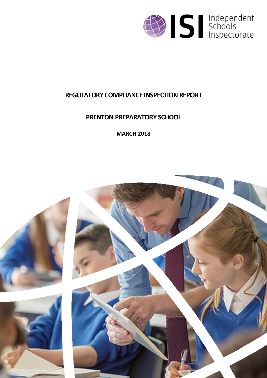

# **REGULATORY COMPLIANCE INSPECTION REPORT**

# **PRENTON PREPARATORY SCHOOL**

**MARCH 2018**

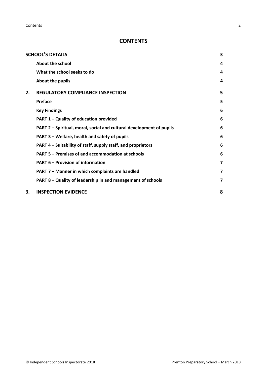## **CONTENTS**

|    | <b>SCHOOL'S DETAILS</b>                                              | 3 |
|----|----------------------------------------------------------------------|---|
|    | About the school                                                     | 4 |
|    | What the school seeks to do                                          | 4 |
|    | About the pupils                                                     | 4 |
| 2. | <b>REGULATORY COMPLIANCE INSPECTION</b>                              | 5 |
|    | Preface                                                              | 5 |
|    | <b>Key Findings</b>                                                  | 6 |
|    | PART 1 - Quality of education provided                               | 6 |
|    | PART 2 - Spiritual, moral, social and cultural development of pupils | 6 |
|    | PART 3 – Welfare, health and safety of pupils                        | 6 |
|    | PART 4 – Suitability of staff, supply staff, and proprietors         | 6 |
|    | PART 5 - Premises of and accommodation at schools                    | 6 |
|    | <b>PART 6 - Provision of information</b>                             | 7 |
|    | PART 7 - Manner in which complaints are handled                      | 7 |
|    | PART 8 - Quality of leadership in and management of schools          | 7 |
| 3. | <b>INSPECTION EVIDENCE</b>                                           | 8 |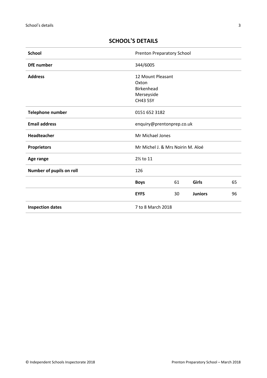| <b>School</b>            | <b>Prenton Preparatory School</b>                                                |    |                |    |
|--------------------------|----------------------------------------------------------------------------------|----|----------------|----|
| <b>DfE</b> number        | 344/6005                                                                         |    |                |    |
| <b>Address</b>           | 12 Mount Pleasant<br>Oxton<br><b>Birkenhead</b><br>Merseyside<br><b>CH43 5SY</b> |    |                |    |
| <b>Telephone number</b>  | 0151 652 3182                                                                    |    |                |    |
| <b>Email address</b>     | enquiry@prentonprep.co.uk                                                        |    |                |    |
| <b>Headteacher</b>       | Mr Michael Jones                                                                 |    |                |    |
| <b>Proprietors</b>       | Mr Michel J. & Mrs Noirin M. Aloé                                                |    |                |    |
| Age range                | 2% to 11                                                                         |    |                |    |
| Number of pupils on roll | 126                                                                              |    |                |    |
|                          | <b>Boys</b>                                                                      | 61 | Girls          | 65 |
|                          | <b>EYFS</b>                                                                      | 30 | <b>Juniors</b> | 96 |
| <b>Inspection dates</b>  | 7 to 8 March 2018                                                                |    |                |    |

## <span id="page-2-0"></span>**SCHOOL'S DETAILS**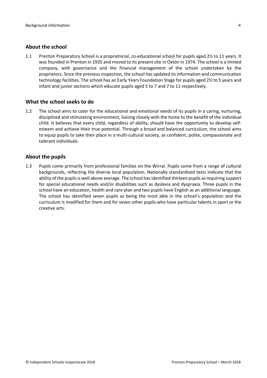#### <span id="page-3-0"></span>**About the school**

1.1 Prenton Preparatory School is a proprietorial, co-educational school for pupils aged 2½ to 11 years. It was founded in Prenton in 1935 and moved to its present site in Oxton in 1974. The school is a limited company, with governance and the financial management of the school undertaken by the proprietors. Since the previousinspection, the school has updated itsinformation and communication technology facilities. The school has an Early Years Foundation Stage for pupils aged 2½ to 5 years and infant and junior sections which educate pupils aged 5 to 7 and 7 to 11 respectively.

#### <span id="page-3-1"></span>**What the school seeks to do**

1.2 The school aims to cater for the educational and emotional needs of its pupils in a caring, nurturing, disciplined and stimulating environment, liaising closely with the home to the benefit of the individual child. It believes that every child, regardless of ability, should have the opportunity to develop selfesteem and achieve their true potential. Through a broad and balanced curriculum, the school aims to equip pupils to take their place in a multi-cultural society, as confident, polite, compassionate and tolerant individuals.

#### <span id="page-3-2"></span>**About the pupils**

1.3 Pupils come primarily from professional families on the Wirral. Pupils come from a range of cultural backgrounds, reflecting the diverse local population. Nationally standardised tests indicate that the ability of the pupils is well above average. The school has identified thirteen pupils as requiring support for special educational needs and/or disabilities such as dyslexia and dyspraxia. Three pupils in the school have an education, health and care plan and two pupils have English as an additional language. The school has identified seven pupils as being the most able in the school's population and the curriculum is modified for them and for seven other pupils who have particular talents in sport or the creative arts.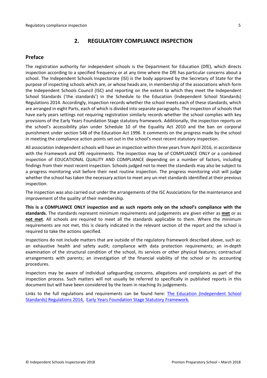## <span id="page-4-0"></span>**2. REGULATORY COMPLIANCE INSPECTION**

## <span id="page-4-1"></span>**Preface**

The registration authority for independent schools is the Department for Education (DfE), which directs inspection according to a specified frequency or at any time where the DfE has particular concerns about a school. The Independent Schools Inspectorate (ISI) is the body approved by the Secretary of State for the purpose of inspecting schools which are, or whose heads are, in membership of the associations which form the Independent Schools Council (ISC) and reporting on the extent to which they meet the Independent School Standards ('the standards') in the Schedule to the Education (Independent School Standards) Regulations 2014. Accordingly, inspection records whether the school meets each of these standards, which are arranged in eight Parts, each of which is divided into separate paragraphs. The inspection of schools that have early years settings not requiring registration similarly records whether the school complies with key provisions of the Early Years Foundation Stage statutory framework. Additionally, the inspection reports on the school's accessibility plan under Schedule 10 of the Equality Act 2010 and the ban on corporal punishment under section 548 of the Education Act 1996. It comments on the progress made by the school in meeting the compliance action points set out in the school's most recent statutory inspection.

All association independent schools will have an inspection within three yearsfrom April 2016, in accordance with the Framework and DfE requirements. The inspection may be of COMPLIANCE ONLY or a combined inspection of EDUCATIONAL QUALITY AND COMPLIANCE depending on a number of factors, including findings from their most recent inspection. Schools judged not to meet the standards may also be subject to a progress monitoring visit before their next routine inspection. The progress monitoring visit will judge whether the school has taken the necessary action to meet any un-met standards identified at their previous inspection.

The inspection was also carried out under the arrangements of the ISC Associations for the maintenance and improvement of the quality of their membership.

**This is a COMPLIANCE ONLY inspection and as such reports only on the school's compliance with the standards.** The standards represent minimum requirements and judgements are given either as **met** or as **not met**. All schools are required to meet all the standards applicable to them. Where the minimum requirements are not met, this is clearly indicated in the relevant section of the report and the school is required to take the actions specified.

Inspections do not include matters that are outside of the regulatory framework described above, such as: an exhaustive health and safety audit; compliance with data protection requirements; an in-depth examination of the structural condition of the school, its services or other physical features; contractual arrangements with parents; an investigation of the financial viability of the school or its accounting procedures.

Inspectors may be aware of individual safeguarding concerns, allegations and complaints as part of the inspection process. Such matters will not usually be referred to specifically in published reports in this document but will have been considered by the team in reaching its judgements.

Links to the full regulations and requirements can be found here: The Education [\(Independent](http://www.legislation.gov.uk/uksi/2014/3283/contents/made) School Standards) [Regulations](http://www.legislation.gov.uk/uksi/2014/3283/contents/made) 2014, Early Years Foundation Stage Statutory [Framework.](https://www.gov.uk/government/publications/early-years-foundation-stage-framework--2)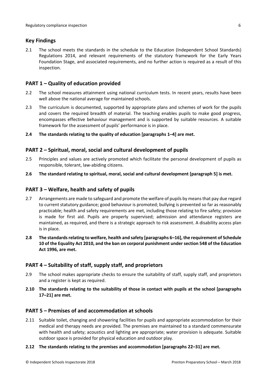## <span id="page-5-0"></span>**Key Findings**

2.1 The school meets the standards in the schedule to the Education (Independent School Standards) Regulations 2014, and relevant requirements of the statutory framework for the Early Years Foundation Stage, and associated requirements, and no further action is required as a result of this inspection.

## <span id="page-5-1"></span>**PART 1 – Quality of education provided**

- 2.2 The school measures attainment using national curriculum tests. In recent years, results have been well above the national average for maintained schools.
- 2.3 The curriculum is documented, supported by appropriate plans and schemes of work for the pupils and covers the required breadth of material. The teaching enables pupils to make good progress, encompasses effective behaviour management and is supported by suitable resources. A suitable framework for the assessment of pupils' performance is in place.
- **2.4 The standards relating to the quality of education [paragraphs 1–4] are met.**

## <span id="page-5-2"></span>**PART 2 – Spiritual, moral, social and cultural development of pupils**

- 2.5 Principles and values are actively promoted which facilitate the personal development of pupils as responsible, tolerant, law-abiding citizens.
- **2.6 The standard relating to spiritual, moral, social and cultural development [paragraph 5] is met.**

## <span id="page-5-3"></span>**PART 3 – Welfare, health and safety of pupils**

- 2.7 Arrangements are made to safeguard and promote the welfare of pupils by means that pay due regard to current statutory guidance; good behaviour is promoted; bullying is prevented so far as reasonably practicable; health and safety requirements are met, including those relating to fire safety; provision is made for first aid. Pupils are properly supervised; admission and attendance registers are maintained, as required, and there is a strategic approach to risk assessment. A disability access plan is in place.
- **2.8 The standardsrelating to welfare, health and safety [paragraphs 6–16], the requirement of Schedule 10 of the Equality Act 2010, and the ban on corporal punishment undersection 548 of the Education Act 1996, are met.**

## <span id="page-5-4"></span>**PART 4 – Suitability of staff, supply staff, and proprietors**

- 2.9 The school makes appropriate checks to ensure the suitability of staff, supply staff, and proprietors and a register is kept as required.
- **2.10 The standards relating to the suitability of those in contact with pupils at the school [paragraphs 17–21] are met.**

#### <span id="page-5-5"></span>**PART 5 – Premises of and accommodation at schools**

2.11 Suitable toilet, changing and showering facilities for pupils and appropriate accommodation for their medical and therapy needs are provided. The premises are maintained to a standard commensurate with health and safety; acoustics and lighting are appropriate; water provision is adequate. Suitable outdoor space is provided for physical education and outdoor play.

#### **2.12 The standards relating to the premises and accommodation [paragraphs 22–31] are met.**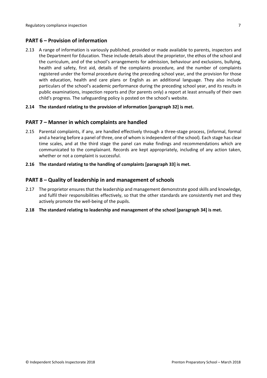## <span id="page-6-0"></span>**PART 6 – Provision of information**

2.13 A range of information is variously published, provided or made available to parents, inspectors and the Department for Education. These include details about the proprietor, the ethos of the school and the curriculum, and of the school's arrangements for admission, behaviour and exclusions, bullying, health and safety, first aid, details of the complaints procedure, and the number of complaints registered under the formal procedure during the preceding school year, and the provision for those with education, health and care plans or English as an additional language. They also include particulars of the school's academic performance during the preceding school year, and its results in public examinations, inspection reports and (for parents only) a report at least annually of their own child's progress. The safeguarding policy is posted on the school's website.

#### **2.14 The standard relating to the provision of information [paragraph 32] is met.**

#### <span id="page-6-1"></span>**PART 7 – Manner in which complaints are handled**

- 2.15 Parental complaints, if any, are handled effectively through a three-stage process, (informal, formal and a hearing before a panel of three, one of whom is independent of the school). Each stage has clear time scales, and at the third stage the panel can make findings and recommendations which are communicated to the complainant. Records are kept appropriately, including of any action taken, whether or not a complaint is successful.
- **2.16 The standard relating to the handling of complaints [paragraph 33] is met.**

#### <span id="page-6-2"></span>**PART 8 – Quality of leadership in and management of schools**

- 2.17 The proprietor ensures that the leadership and management demonstrate good skills and knowledge, and fulfil their responsibilities effectively, so that the other standards are consistently met and they actively promote the well-being of the pupils.
- **2.18 The standard relating to leadership and management of the school [paragraph 34] is met.**